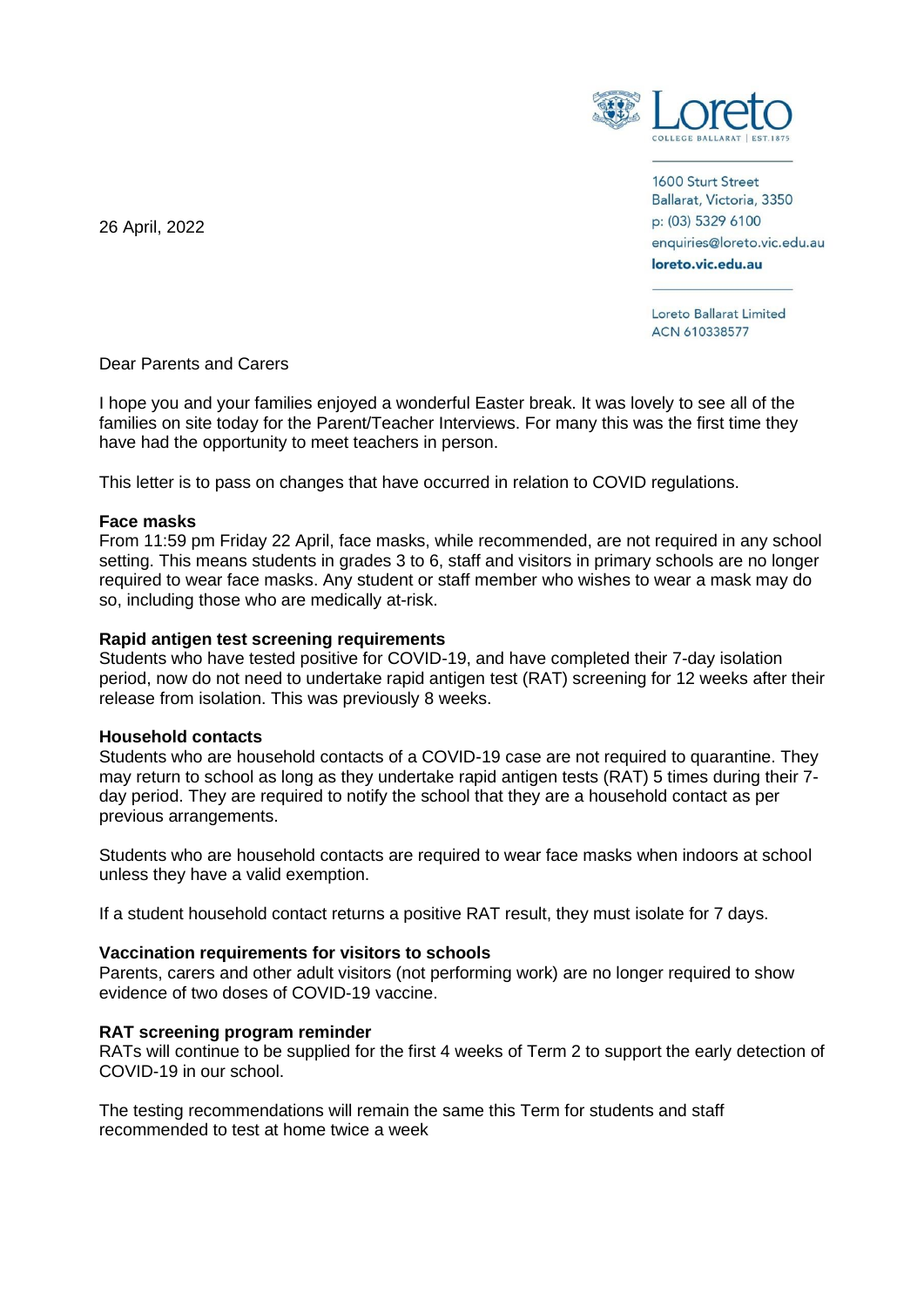

1600 Sturt Street Ballarat, Victoria, 3350 p: (03) 5329 6100 enquiries@loreto.vic.edu.au loreto.vic.edu.au

Loreto Ballarat Limited ACN 610338577

Dear Parents and Carers

I hope you and your families enjoyed a wonderful Easter break. It was lovely to see all of the families on site today for the Parent/Teacher Interviews. For many this was the first time they have had the opportunity to meet teachers in person.

This letter is to pass on changes that have occurred in relation to COVID regulations.

# **Face masks**

From 11:59 pm Friday 22 April, face masks, while recommended, are not required in any school setting. This means students in grades 3 to 6, staff and visitors in primary schools are no longer required to wear face masks. Any student or staff member who wishes to wear a mask may do so, including those who are medically at-risk.

# **Rapid antigen test screening requirements**

Students who have tested positive for COVID-19, and have completed their 7-day isolation period, now do not need to undertake rapid antigen test (RAT) screening for 12 weeks after their release from isolation. This was previously 8 weeks.

# **Household contacts**

Students who are household contacts of a COVID-19 case are not required to quarantine. They may return to school as long as they undertake rapid antigen tests (RAT) 5 times during their 7 day period. They are required to notify the school that they are a household contact as per previous arrangements.

Students who are household contacts are required to wear face masks when indoors at school unless they have a valid exemption.

If a student household contact returns a positive RAT result, they must isolate for 7 days.

# **Vaccination requirements for visitors to schools**

Parents, carers and other adult visitors (not performing work) are no longer required to show evidence of two doses of COVID-19 vaccine.

# **RAT screening program reminder**

RATs will continue to be supplied for the first 4 weeks of Term 2 to support the early detection of COVID-19 in our school.

The testing recommendations will remain the same this Term for students and staff recommended to test at home twice a week

26 April, 2022